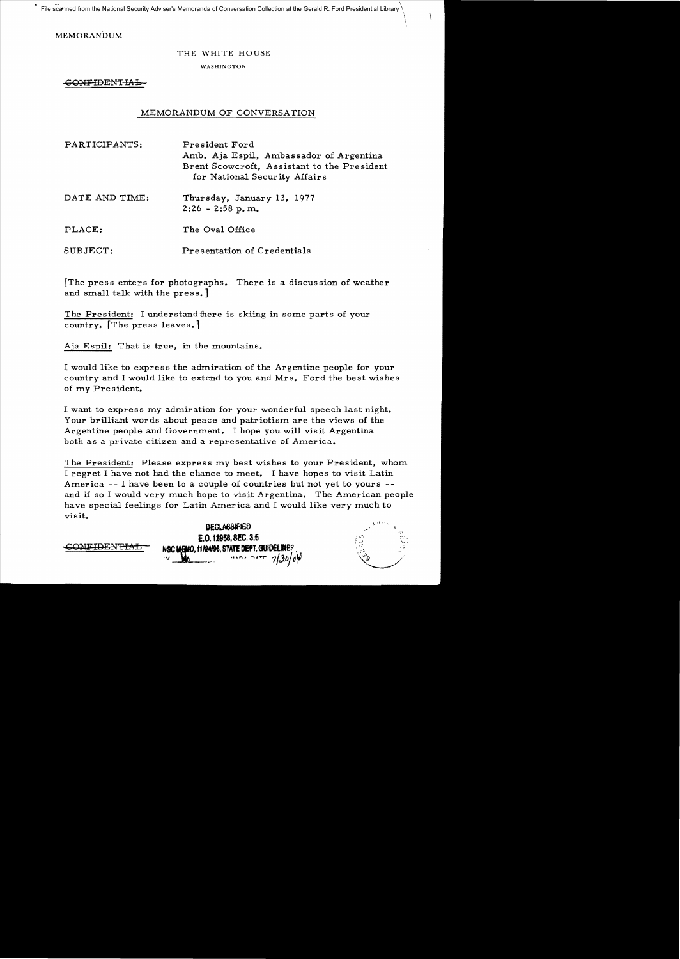File scanned from the National Security Adviser's Memoranda of Conversation Collection at the Gerald R. Ford Presidential Library

MEMORANDUM

## THE WHITE HOUSE

WASHINGTON

-GONF<del>IDENTIAL</del>

## MEMORANDUM OF CONVERSATION

| PARTICIPANTS:  | President Ford<br>Amb. Aja Espil, Ambassador of Argentina<br>Brent Scowcroft, Assistant to the President<br>for National Security Affairs |
|----------------|-------------------------------------------------------------------------------------------------------------------------------------------|
| DATE AND TIME: | Thursday, January 13, 1977                                                                                                                |

 $2:26 - 2:58$  p.m.

PLACE: The Oval Office

SUBJECT: Presentation of Credentials

[The press enters for photographs. There is a discussion of weather and small talk with the press.

The President: I understand there is skiing in some parts of your country. [The press leaves.]

Aja Espil: That is true, in the mountains.

I would like to express the admiration of the Argentine people for your country and I would like to extend to you and Mrs. Ford the best wishes of my President.

I want to express my admiration for your wonderful speech last night. Your brilliant words about peace and patriotism are the views of the Argentine people and Government. I hope you will visit Argentina both as a private citizen and a representative of America.

The President: Please express my best wishes to your President, whom. I regret I have not had the chance to meet. I have hopes to visit Latin America -- I have been to a couple of countries but not yet to yours -and if so I would very much hope to visit Argentina. The American people have special feelings for Latin America and I would like very much to visit.

| <b>DECLASSIFIED</b>                        | 174                |
|--------------------------------------------|--------------------|
| E.O. 12958, SEC. 3.5                       | τÝ<br>$4x -$<br>Зa |
| NSC MEMO, 11/24/98, STATE DEPT. GUIDELINES |                    |
|                                            |                    |

Ď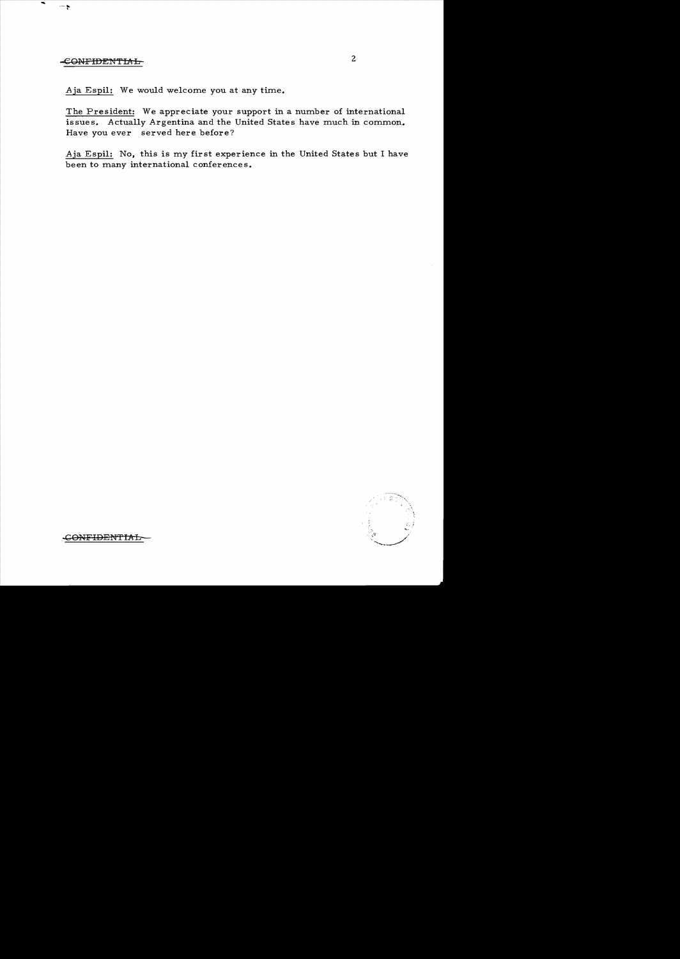## et al. 2 contribution of the contribution of the contribution of  $\sim$  2

 $\sim$ 

Aja Espil: We would welcome you at any time.

The President: We appreciate your support in a number of international issues. Actually Argentina and the United States have much in common. Have you ever served here before?

Aja Espil: No, this is my first experience in the United States but I have been to many international conferences.



..GONFIDEN'TIAL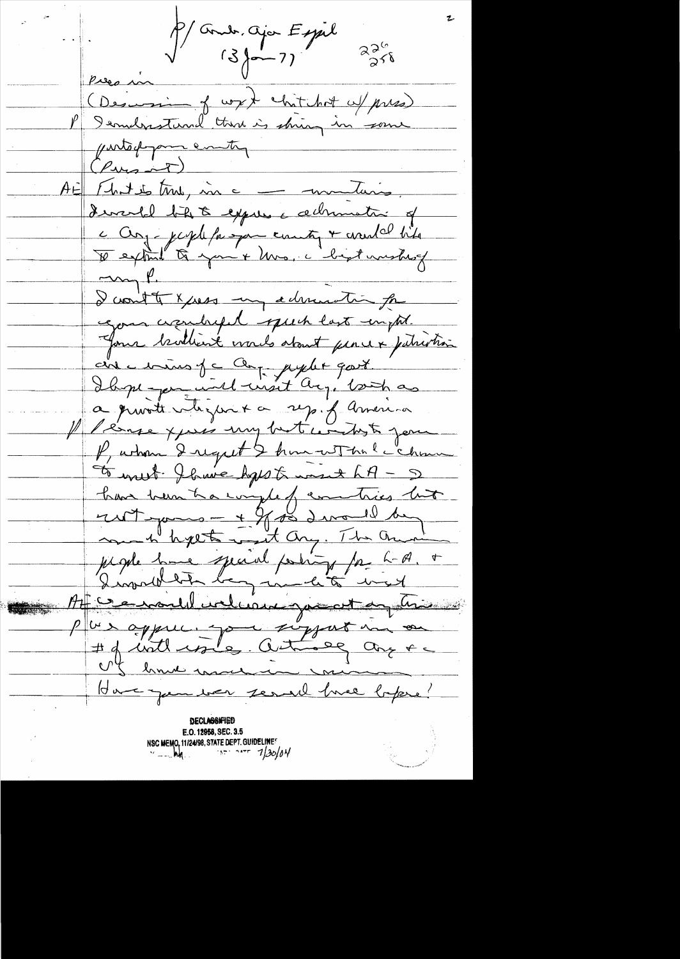P/ and, aja Espil  $226$ <br> $276$ Pres in (Descenir of work chitchet alpres) P Iernderstand there is shing in (entoppamenty AE Fhat is true, une communication devertel bite à expres administra of c Conj-jepte faispan county + availel bits  $mgf$ I cont to x just my admiration for come assumed puch last empt. Jour brothert words about pencex juliation aire mins je ce pystet gart. Ibeze par une visit arg. both as a provite vligar & sy. f america Il lénge xpris my but comme jou P, whom I regret & home with le chame To writ flower haps to want h A - 5 han been tra complet comtrès luit jugie huie special posity par had + Atterandeline you at any his Plus appure. Jour support in on US homme marine mon Have gun ber seral hve beper! **DECLASSAFIED** E.O. 12958, SEC. 3.5 NSC MEMO, 11/24/98, STATE DEPT. GUIDELINES  $130/04$